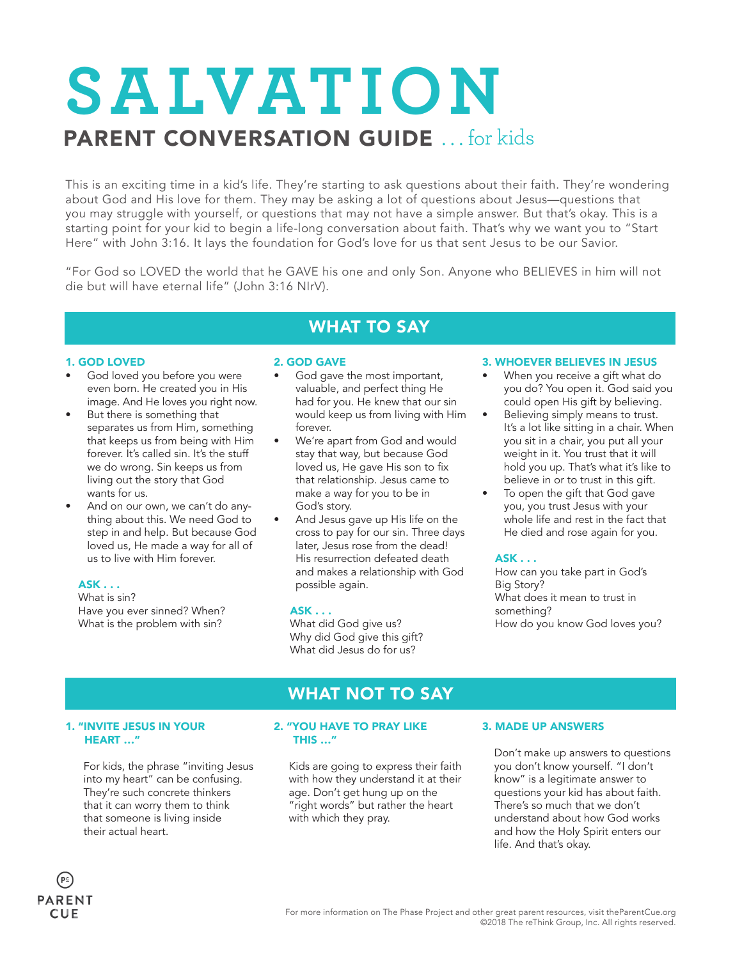## **SALVAT ION** PARENT CONVERSATION GUIDE ... for kids

This is an exciting time in a kid's life. They're starting to ask questions about their faith. They're wondering about God and His love for them. They may be asking a lot of questions about Jesus—questions that you may struggle with yourself, or questions that may not have a simple answer. But that's okay. This is a starting point for your kid to begin a life-long conversation about faith. That's why we want you to "Start Here" with John 3:16. It lays the foundation for God's love for us that sent Jesus to be our Savior.

"For God so LOVED the world that he GAVE his one and only Son. Anyone who BELIEVES in him will not die but will have eternal life" (John 3:16 NIrV).

### WHAT TO SAY

### 1. GOD LOVED

- God loved you before you were even born. He created you in His image. And He loves you right now.
- But there is something that separates us from Him, something that keeps us from being with Him forever. It's called sin. It's the stuff we do wrong. Sin keeps us from living out the story that God wants for us.
- And on our own, we can't do anything about this. We need God to step in and help. But because God loved us, He made a way for all of us to live with Him forever.

### ASK . . .

What is sin? Have you ever sinned? When? What is the problem with sin?

### 2. GOD GAVE

- God gave the most important, valuable, and perfect thing He had for you. He knew that our sin would keep us from living with Him forever.
- We're apart from God and would stay that way, but because God loved us, He gave His son to fix that relationship. Jesus came to make a way for you to be in God's story.
- And Jesus gave up His life on the cross to pay for our sin. Three days later, Jesus rose from the dead! His resurrection defeated death and makes a relationship with God possible again.

### ASK . . .

What did God give us? Why did God give this gift? What did Jesus do for us?

### 3. WHOEVER BELIEVES IN JESUS

- When you receive a gift what do you do? You open it. God said you could open His gift by believing.
- Believing simply means to trust. It's a lot like sitting in a chair. When you sit in a chair, you put all your weight in it. You trust that it will hold you up. That's what it's like to believe in or to trust in this gift.
- To open the gift that God gave you, you trust Jesus with your whole life and rest in the fact that He died and rose again for you.

### ASK . . .

How can you take part in God's Big Story? What does it mean to trust in something? How do you know God loves you?

### 1. "INVITE JESUS IN YOUR HEART …"

 For kids, the phrase "inviting Jesus into my heart" can be confusing. They're such concrete thinkers that it can worry them to think that someone is living inside their actual heart.

### 2. "YOU HAVE TO PRAY LIKE THIS …"

WHAT NOT TO SAY

 Kids are going to express their faith with how they understand it at their age. Don't get hung up on the "right words" but rather the heart with which they pray.

### 3. MADE UP ANSWERS

 Don't make up answers to questions you don't know yourself. "I don't know" is a legitimate answer to questions your kid has about faith. There's so much that we don't understand about how God works and how the Holy Spirit enters our life. And that's okay.